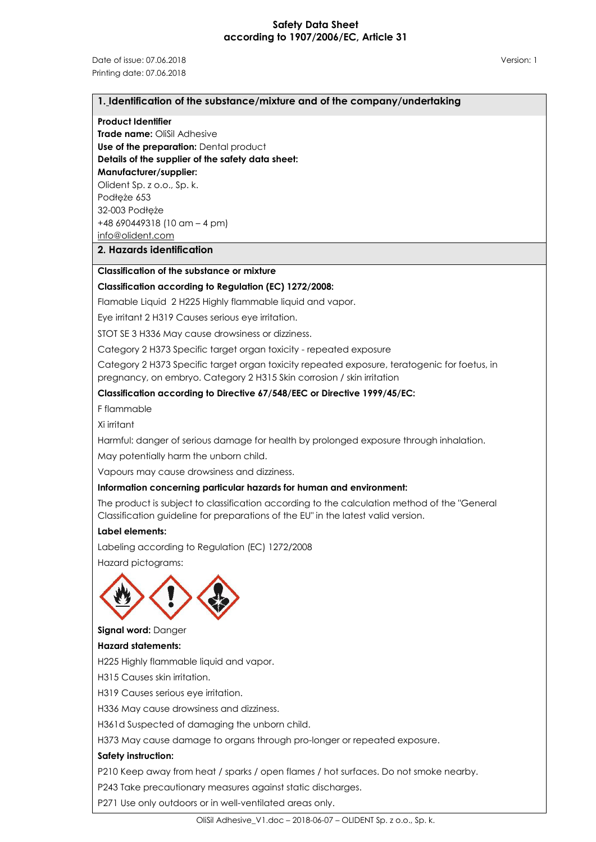### **Safety Data Sheet according to 1907/2006/EC, Article 31**

Date of issue: 07.06.2018 Version: 1 Printing date: 07.06.2018

#### **1. Identification of the substance/mixture and of the company/undertaking**

#### **Product Identifier**

**Trade name:** OliSil Adhesive **Use of the preparation: Dental product Details of the supplier of the safety data sheet:**

**Manufacturer/supplier:** Olident Sp. z o.o., Sp. k.

Podłęże 653 32-003 Podłęże

+48 690449318 (10 am – 4 pm)

[info@olident.com](mailto:info@olident.com)

#### **2. Hazards identification**

# **Classification of the substance or mixture**

#### **Classification according to Regulation (EC) 1272/2008:**

Flamable Liquid 2 H225 Highly flammable liquid and vapor.

Eye irritant 2 H319 Causes serious eye irritation.

STOT SE 3 H336 May cause drowsiness or dizziness.

Category 2 H373 Specific target organ toxicity - repeated exposure

Category 2 H373 Specific target organ toxicity repeated exposure, teratogenic for foetus, in pregnancy, on embryo. Category 2 H315 Skin corrosion / skin irritation

#### **Classification according to Directive 67/548/EEC or Directive 1999/45/EC:**

F flammable

Xi irritant

Harmful: danger of serious damage for health by prolonged exposure through inhalation.

May potentially harm the unborn child.

Vapours may cause drowsiness and dizziness.

#### **Information concerning particular hazards for human and environment:**

The product is subject to classification according to the calculation method of the "General Classification guideline for preparations of the EU" in the latest valid version.

#### **Label elements:**

Labeling according to Regulation (EC) 1272/2008

Hazard pictograms:



**Signal word:** Danger **Hazard statements:**

H225 Highly flammable liquid and vapor.

H315 Causes skin irritation.

H319 Causes serious eye irritation.

H336 May cause drowsiness and dizziness.

H361d Suspected of damaging the unborn child.

H373 May cause damage to organs through pro-longer or repeated exposure.

#### **Safety instruction:**

P210 Keep away from heat / sparks / open flames / hot surfaces. Do not smoke nearby.

P243 Take precautionary measures against static discharges.

P271 Use only outdoors or in well-ventilated areas only.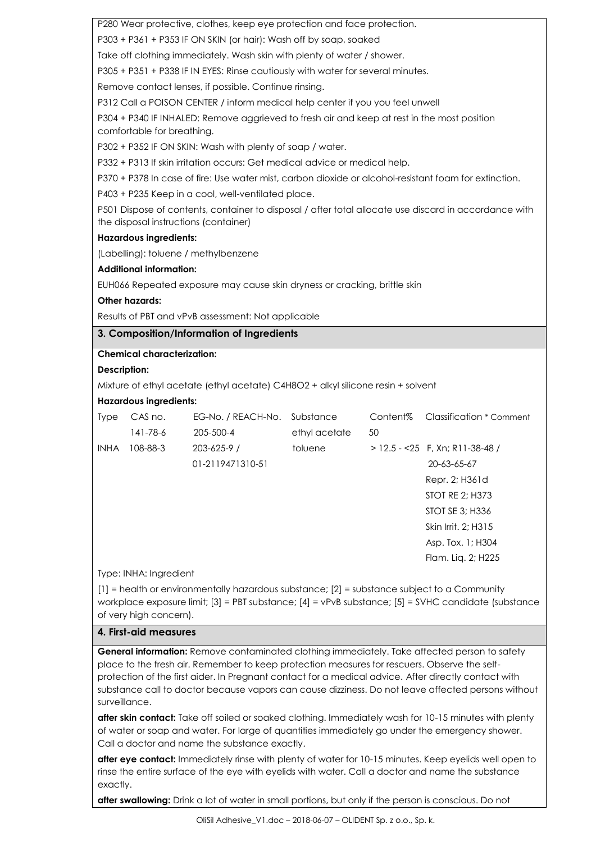P280 Wear protective, clothes, keep eye protection and face protection.

P303 + P361 + P353 IF ON SKIN (or hair): Wash off by soap, soaked

Take off clothing immediately. Wash skin with plenty of water / shower.

P305 + P351 + P338 IF IN EYES: Rinse cautiously with water for several minutes.

Remove contact lenses, if possible. Continue rinsing.

P312 Call a POISON CENTER / inform medical help center if you you feel unwell

P304 + P340 IF INHALED: Remove aggrieved to fresh air and keep at rest in the most position comfortable for breathing.

P302 + P352 IF ON SKIN: Wash with plenty of soap / water.

P332 + P313 If skin irritation occurs: Get medical advice or medical help.

P370 + P378 In case of fire: Use water mist, carbon dioxide or alcohol-resistant foam for extinction.

P403 + P235 Keep in a cool, well-ventilated place.

P501 Dispose of contents, container to disposal / after total allocate use discard in accordance with the disposal instructions (container)

#### **Hazardous ingredients:**

(Labelling): toluene / methylbenzene

#### **Additional information:**

EUH066 Repeated exposure may cause skin dryness or cracking, brittle skin

#### **Other hazards:**

Results of PBT and vPvB assessment: Not applicable

#### **3. Composition/Information of Ingredients**

#### **Chemical characterization:**

### **Description:**

Mixture of ethyl acetate (ethyl acetate) C4H8O2 + alkyl silicone resin + solvent

#### **Hazardous ingredients:**

| <b>Type</b> | CAS no.  | EG-No. / REACH-No. | Substance     | Content% | Classification * Comment          |
|-------------|----------|--------------------|---------------|----------|-----------------------------------|
|             | 141-78-6 | 205-500-4          | ethyl acetate | 50       |                                   |
| <b>INHA</b> | 108-88-3 | $203 - 625 - 9$ /  | toluene       |          | $>$ 12.5 - <25 F, Xn; R11-38-48 / |
|             |          | 01-2119471310-51   |               |          | 20-63-65-67                       |
|             |          |                    |               |          | Repr. 2; H361d                    |
|             |          |                    |               |          | STOT RE 2; H373                   |
|             |          |                    |               |          | STOT SE 3; H336                   |
|             |          |                    |               |          | Skin Irrit. 2; H315               |
|             |          |                    |               |          | Asp. Tox. 1; H304                 |
|             |          |                    |               |          | Flam. Lig. 2; H225                |

#### Type: INHA: Ingredient

[1] = health or environmentally hazardous substance; [2] = substance subject to a Community workplace exposure limit; [3] = PBT substance; [4] = vPvB substance; [5] = SVHC candidate (substance of very high concern).

# **4. First-aid measures**

**General information:** Remove contaminated clothing immediately. Take affected person to safety place to the fresh air. Remember to keep protection measures for rescuers. Observe the selfprotection of the first aider. In Pregnant contact for a medical advice. After directly contact with substance call to doctor because vapors can cause dizziness. Do not leave affected persons without surveillance.

**after skin contact:** Take off soiled or soaked clothing. Immediately wash for 10-15 minutes with plenty of water or soap and water. For large of quantities immediately go under the emergency shower. Call a doctor and name the substance exactly.

**after eye contact:** Immediately rinse with plenty of water for 10-15 minutes. Keep eyelids well open to rinse the entire surface of the eye with eyelids with water. Call a doctor and name the substance exactly.

**after swallowing:** Drink a lot of water in small portions, but only if the person is conscious. Do not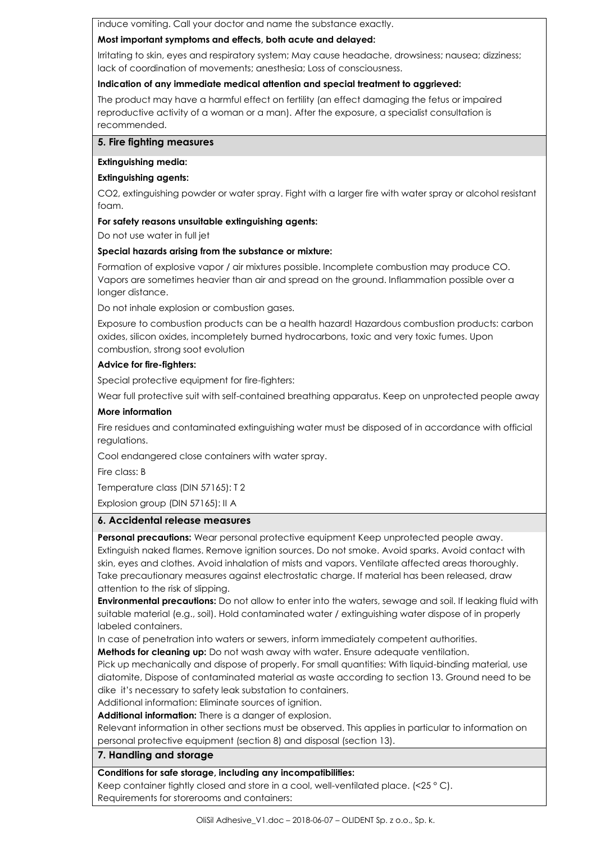induce vomiting. Call your doctor and name the substance exactly.

## **Most important symptoms and effects, both acute and delayed:**

Irritating to skin, eyes and respiratory system; May cause headache, drowsiness; nausea; dizziness; lack of coordination of movements; anesthesia; Loss of consciousness.

# **Indication of any immediate medical attention and special treatment to aggrieved:**

The product may have a harmful effect on fertility (an effect damaging the fetus or impaired reproductive activity of a woman or a man). After the exposure, a specialist consultation is recommended.

### **5. Fire fighting measures**

### **Extinguishing media:**

# **Extinguishing agents:**

CO2, extinguishing powder or water spray. Fight with a larger fire with water spray or alcohol resistant foam.

# **For safety reasons unsuitable extinguishing agents:**

Do not use water in full jet

# **Special hazards arising from the substance or mixture:**

Formation of explosive vapor / air mixtures possible. Incomplete combustion may produce CO. Vapors are sometimes heavier than air and spread on the ground. Inflammation possible over a longer distance.

Do not inhale explosion or combustion gases.

Exposure to combustion products can be a health hazard! Hazardous combustion products: carbon oxides, silicon oxides, incompletely burned hydrocarbons, toxic and very toxic fumes. Upon combustion, strong soot evolution

# **Advice for fire-fighters:**

Special protective equipment for fire-fighters:

Wear full protective suit with self-contained breathing apparatus. Keep on unprotected people away

# **More information**

Fire residues and contaminated extinguishing water must be disposed of in accordance with official regulations.

Cool endangered close containers with water spray.

Fire class: B

Temperature class (DIN 57165): T 2

Explosion group (DIN 57165): II A

# **6. Accidental release measures**

**Personal precautions:** Wear personal protective equipment Keep unprotected people away. Extinguish naked flames. Remove ignition sources. Do not smoke. Avoid sparks. Avoid contact with skin, eyes and clothes. Avoid inhalation of mists and vapors. Ventilate affected areas thoroughly. Take precautionary measures against electrostatic charge. If material has been released, draw attention to the risk of slipping.

**Environmental precautions:** Do not allow to enter into the waters, sewage and soil. If leaking fluid with suitable material (e.g., soil). Hold contaminated water / extinguishing water dispose of in properly labeled containers.

In case of penetration into waters or sewers, inform immediately competent authorities.

**Methods for cleaning up:** Do not wash away with water. Ensure adequate ventilation.

Pick up mechanically and dispose of properly. For small quantities: With liquid-binding material, use diatomite, Dispose of contaminated material as waste according to section 13. Ground need to be dike it's necessary to safety leak substation to containers.

Additional information: Eliminate sources of ignition.

**Additional information:** There is a danger of explosion.

Relevant information in other sections must be observed. This applies in particular to information on personal protective equipment (section 8) and disposal (section 13).

# **7. Handling and storage**

# **Conditions for safe storage, including any incompatibilities:**

Keep container tightly closed and store in a cool, well-ventilated place. (<25 ° C). Requirements for storerooms and containers: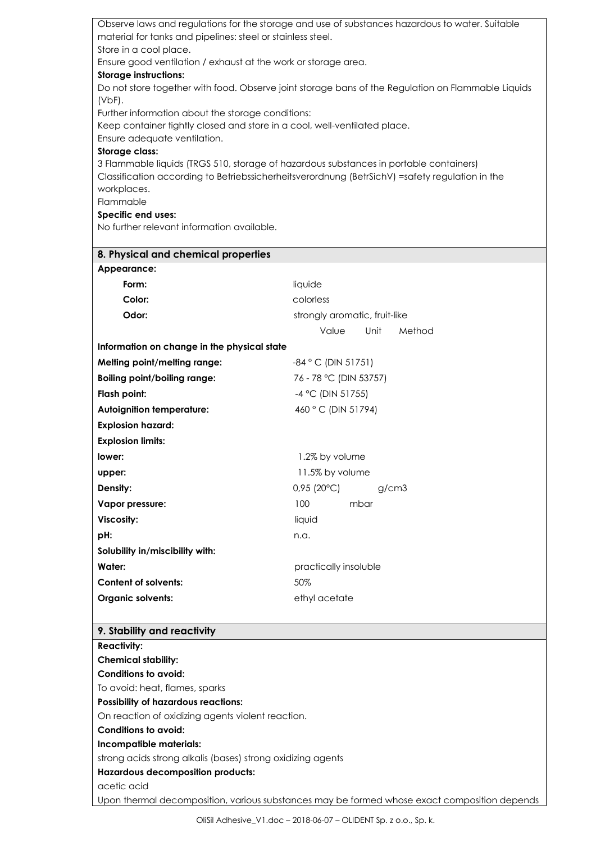| Observe laws and regulations for the storage and use of substances hazardous to water. Suitable                 |                               |  |  |  |  |  |
|-----------------------------------------------------------------------------------------------------------------|-------------------------------|--|--|--|--|--|
| material for tanks and pipelines: steel or stainless steel.<br>Store in a cool place.                           |                               |  |  |  |  |  |
| Ensure good ventilation / exhaust at the work or storage area.                                                  |                               |  |  |  |  |  |
| <b>Storage instructions:</b>                                                                                    |                               |  |  |  |  |  |
| Do not store together with food. Observe joint storage bans of the Regulation on Flammable Liquids              |                               |  |  |  |  |  |
| (VbF).                                                                                                          |                               |  |  |  |  |  |
| Further information about the storage conditions:                                                               |                               |  |  |  |  |  |
| Keep container tightly closed and store in a cool, well-ventilated place.                                       |                               |  |  |  |  |  |
| Ensure adequate ventilation.                                                                                    |                               |  |  |  |  |  |
| <b>Storage class:</b><br>3 Flammable liquids (TRGS 510, storage of hazardous substances in portable containers) |                               |  |  |  |  |  |
| Classification according to Betriebssicherheitsverordnung (BetrSichV) =safety regulation in the                 |                               |  |  |  |  |  |
| workplaces.                                                                                                     |                               |  |  |  |  |  |
| Flammable                                                                                                       |                               |  |  |  |  |  |
| Specific end uses:                                                                                              |                               |  |  |  |  |  |
| No further relevant information available.                                                                      |                               |  |  |  |  |  |
| 8. Physical and chemical properties                                                                             |                               |  |  |  |  |  |
| Appearance:                                                                                                     |                               |  |  |  |  |  |
| Form:                                                                                                           | liquide                       |  |  |  |  |  |
| Color:                                                                                                          | colorless                     |  |  |  |  |  |
| Odor:                                                                                                           | strongly aromatic, fruit-like |  |  |  |  |  |
|                                                                                                                 | Unit<br>Method<br>Value       |  |  |  |  |  |
| Information on change in the physical state                                                                     |                               |  |  |  |  |  |
| Melting point/melting range:                                                                                    | $-84$ ° C (DIN 51751)         |  |  |  |  |  |
| <b>Boiling point/boiling range:</b>                                                                             | 76 - 78 °C (DIN 53757)        |  |  |  |  |  |
| Flash point:                                                                                                    | -4 °C (DIN 51755)             |  |  |  |  |  |
| <b>Autoignition temperature:</b>                                                                                | 460 °C (DIN 51794)            |  |  |  |  |  |
| <b>Explosion hazard:</b>                                                                                        |                               |  |  |  |  |  |
| <b>Explosion limits:</b>                                                                                        |                               |  |  |  |  |  |
| lower:                                                                                                          | 1.2% by volume                |  |  |  |  |  |
| upper:                                                                                                          | 11.5% by volume               |  |  |  |  |  |
| Density:                                                                                                        | $0.95(20^{\circ}C)$<br>g/cm3  |  |  |  |  |  |
| Vapor pressure:                                                                                                 | 100<br>mbar                   |  |  |  |  |  |
| <b>Viscosity:</b>                                                                                               | liquid                        |  |  |  |  |  |
| pH:                                                                                                             | n.a.                          |  |  |  |  |  |
| Solubility in/miscibility with:                                                                                 |                               |  |  |  |  |  |
| Water:                                                                                                          | practically insoluble         |  |  |  |  |  |
| <b>Content of solvents:</b>                                                                                     | 50%                           |  |  |  |  |  |
| <b>Organic solvents:</b>                                                                                        | ethyl acetate                 |  |  |  |  |  |
|                                                                                                                 |                               |  |  |  |  |  |
| 9. Stability and reactivity                                                                                     |                               |  |  |  |  |  |
| <b>Reactivity:</b>                                                                                              |                               |  |  |  |  |  |
| <b>Chemical stability:</b>                                                                                      |                               |  |  |  |  |  |
| <b>Conditions to avoid:</b>                                                                                     |                               |  |  |  |  |  |

To avoid: heat, flames, sparks

# **Possibility of hazardous reactions:**

On reaction of oxidizing agents violent reaction.

# **Conditions to avoid:**

**Incompatible materials:**

strong acids strong alkalis (bases) strong oxidizing agents

# **Hazardous decomposition products:**

acetic acid

Upon thermal decomposition, various substances may be formed whose exact composition depends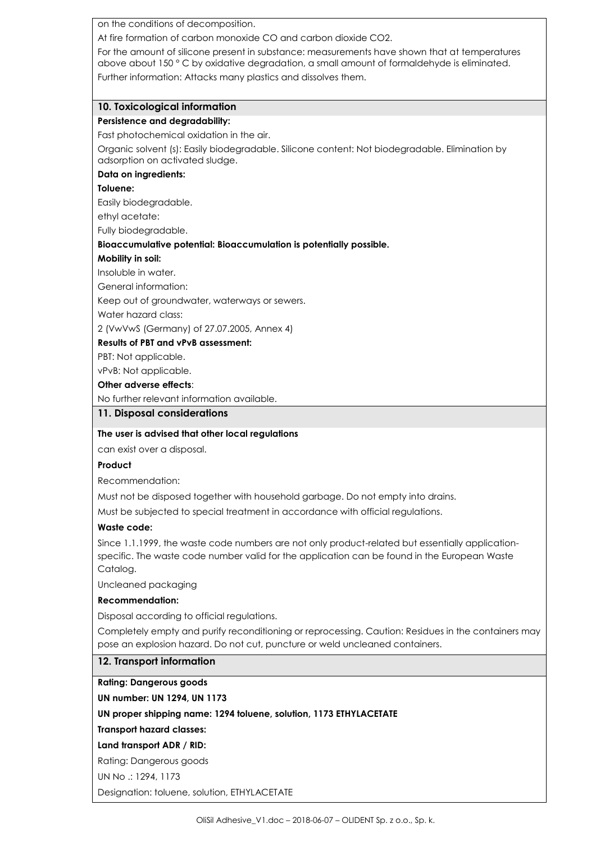on the conditions of decomposition.

At fire formation of carbon monoxide CO and carbon dioxide CO2.

For the amount of silicone present in substance: measurements have shown that at temperatures above about 150 ° C by oxidative degradation, a small amount of formaldehyde is eliminated. Further information: Attacks many plastics and dissolves them.

## **10. Toxicological information**

### **Persistence and degradability:**

Fast photochemical oxidation in the air.

Organic solvent (s): Easily biodegradable. Silicone content: Not biodegradable. Elimination by adsorption on activated sludge.

#### **Data on ingredients:**

### **Toluene:**

Easily biodegradable.

ethyl acetate:

Fully biodegradable.

#### **Bioaccumulative potential: Bioaccumulation is potentially possible.**

#### **Mobility in soil:**

Insoluble in water.

General information:

Keep out of groundwater, waterways or sewers.

Water hazard class:

2 (VwVwS (Germany) of 27.07.2005, Annex 4)

#### **Results of PBT and vPvB assessment:**

PBT: Not applicable.

vPvB: Not applicable.

#### **Other adverse effects**:

No further relevant information available.

# **11. Disposal considerations**

# **The user is advised that other local regulations**

can exist over a disposal.

## **Product**

Recommendation:

Must not be disposed together with household garbage. Do not empty into drains.

Must be subjected to special treatment in accordance with official regulations.

# **Waste code:**

Since 1.1.1999, the waste code numbers are not only product-related but essentially applicationspecific. The waste code number valid for the application can be found in the European Waste Catalog.

Uncleaned packaging

# **Recommendation:**

Disposal according to official regulations.

Completely empty and purify reconditioning or reprocessing. Caution: Residues in the containers may pose an explosion hazard. Do not cut, puncture or weld uncleaned containers.

# **12. Transport information**

**Rating: Dangerous goods**

**UN number: UN 1294, UN 1173**

# **UN proper shipping name: 1294 toluene, solution, 1173 ETHYLACETATE**

**Transport hazard classes:**

# **Land transport ADR / RID:**

Rating: Dangerous goods

UN No .: 1294, 1173

Designation: toluene, solution, ETHYLACETATE